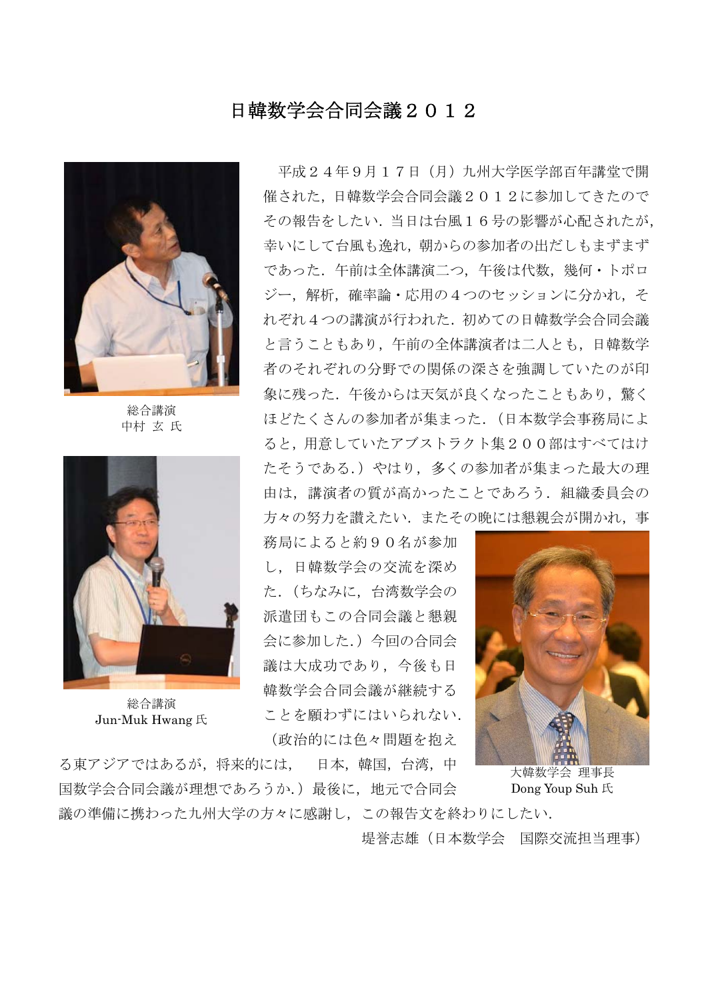## 日韓数学会合同会議2012



総合講演 中村 玄 氏



総合講演 Jun-Muk Hwang 氏

 平成24年9月17日(月)九州大学医学部百年講堂で開 催された,日韓数学会合同会議2012に参加してきたので その報告をしたい.当日は台風16号の影響が心配されたが, 幸いにして台風も逸れ,朝からの参加者の出だしもまずまず であった.午前は全体講演二つ,午後は代数,幾何・トポロ ジー,解析,確率論・応用の4つのセッションに分かれ,そ れぞれ4つの講演が行われた.初めての日韓数学会合同会議 と言うこともあり,午前の全体講演者は二人とも,日韓数学 者のそれぞれの分野での関係の深さを強調していたのが印 象に残った.午後からは天気が良くなったこともあり,驚く ほどたくさんの参加者が集まった.(日本数学会事務局によ ると,用意していたアブストラクト集200部はすべてはけ たそうである.)やはり、多くの参加者が集まった最大の理 由は,講演者の質が高かったことであろう.組織委員会の 方々の努力を讃えたい.またその晩には懇親会が開かれ,事

務局によると約90名が参加 し,日韓数学会の交流を深め た.(ちなみに,台湾数学会の 派遣団もこの合同会議と懇親 会に参加した.)今回の合同会 議は大成功であり,今後も日 韓数学会合同会議が継続する ことを願わずにはいられない. (政治的には色々問題を抱え



大韓数学会 理事長 Dong Youp Suh 氏

議の準備に携わった九州大学の方々に感謝し,この報告文を終わりにしたい. 堤誉志雄(日本数学会 国際交流担当理事)

る東アジアではあるが,将来的には, 日本,韓国,台湾,中 国数学会合同会議が理想であろうか.)最後に,地元で合同会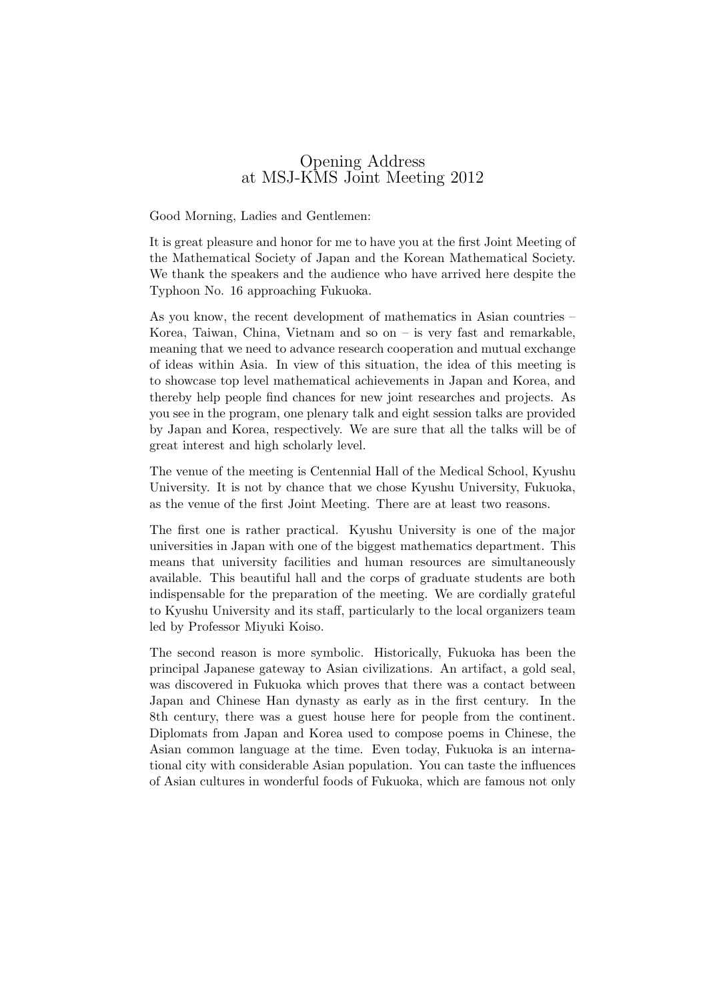## Opening Address at MSJ-KMS Joint Meeting 2012

Good Morning, Ladies and Gentlemen:

It is great pleasure and honor for me to have you at the first Joint Meeting of the Mathematical Society of Japan and the Korean Mathematical Society. We thank the speakers and the audience who have arrived here despite the Typhoon No. 16 approaching Fukuoka.

As you know, the recent development of mathematics in Asian countries – Korea, Taiwan, China, Vietnam and so on – is very fast and remarkable, meaning that we need to advance research cooperation and mutual exchange of ideas within Asia. In view of this situation, the idea of this meeting is to showcase top level mathematical achievements in Japan and Korea, and thereby help people find chances for new joint researches and projects. As you see in the program, one plenary talk and eight session talks are provided by Japan and Korea, respectively. We are sure that all the talks will be of great interest and high scholarly level.

The venue of the meeting is Centennial Hall of the Medical School, Kyushu University. It is not by chance that we chose Kyushu University, Fukuoka, as the venue of the first Joint Meeting. There are at least two reasons.

The first one is rather practical. Kyushu University is one of the major universities in Japan with one of the biggest mathematics department. This means that university facilities and human resources are simultaneously available. This beautiful hall and the corps of graduate students are both indispensable for the preparation of the meeting. We are cordially grateful to Kyushu University and its staff, particularly to the local organizers team led by Professor Miyuki Koiso.

The second reason is more symbolic. Historically, Fukuoka has been the principal Japanese gateway to Asian civilizations. An artifact, a gold seal, was discovered in Fukuoka which proves that there was a contact between Japan and Chinese Han dynasty as early as in the first century. In the 8th century, there was a guest house here for people from the continent. Diplomats from Japan and Korea used to compose poems in Chinese, the Asian common language at the time. Even today, Fukuoka is an international city with considerable Asian population. You can taste the influences of Asian cultures in wonderful foods of Fukuoka, which are famous not only